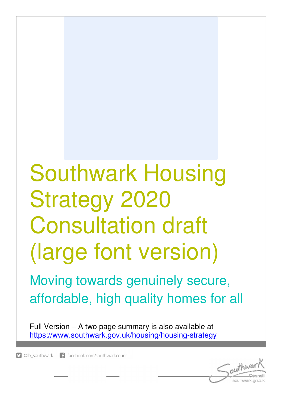# Southwark Housing Strategy 2020 Consultation draft (large font version)

Moving towards genuinely secure, affordable, high quality homes for all

Full Version – A two page summary is also available at https://www.southwark.gov.uk/housing/housing-strategy

D @lb southwark 1 facebook.com/southwarkcouncil

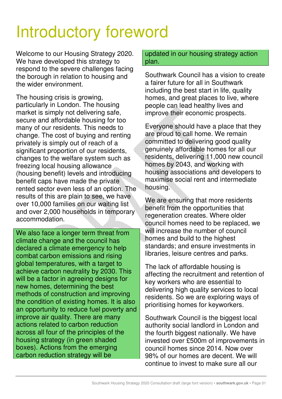# Introductory foreword

Welcome to our Housing Strategy 2020. We have developed this strategy to respond to the severe challenges facing the borough in relation to housing and the wider environment.

The housing crisis is growing, particularly in London. The housing market is simply not delivering safe, secure and affordable housing for too many of our residents. This needs to change. The cost of buying and renting privately is simply out of reach of a significant proportion of our residents, changes to the welfare system such as freezing local housing allowance (housing benefit) levels and introducing benefit caps have made the private rented sector even less of an option. The results of this are plain to see, we have over 10,000 families on our waiting list and over 2,000 households in temporary accommodation.

We also face a longer term threat from climate change and the council has declared a climate emergency to help combat carbon emissions and rising global temperatures, with a target to achieve carbon neutrality by 2030. This will be a factor in agreeing designs for new homes, determining the best methods of construction and improving the condition of existing homes. It is also an opportunity to reduce fuel poverty and improve air quality. There are many actions related to carbon reduction across all four of the principles of the housing strategy (in green shaded boxes). Actions from the emerging carbon reduction strategy will be

updated in our housing strategy action plan.

Southwark Council has a vision to create a fairer future for all in Southwark including the best start in life, quality homes, and great places to live, where people can lead healthy lives and improve their economic prospects.

Everyone should have a place that they are proud to call home. We remain committed to delivering good quality genuinely affordable homes for all our residents, delivering 11,000 new council homes by 2043, and working with housing associations and developers to maximise social rent and intermediate housing.

We are ensuring that more residents benefit from the opportunities that regeneration creates. Where older council homes need to be replaced, we will increase the number of council homes and build to the highest standards; and ensure investments in libraries, leisure centres and parks.

The lack of affordable housing is affecting the recruitment and retention of key workers who are essential to delivering high quality services to local residents. So we are exploring ways of prioritising homes for keyworkers.

Southwark Council is the biggest local authority social landlord in London and the fourth biggest nationally. We have invested over £500m of improvements in council homes since 2014. Now over 98% of our homes are decent. We will continue to invest to make sure all our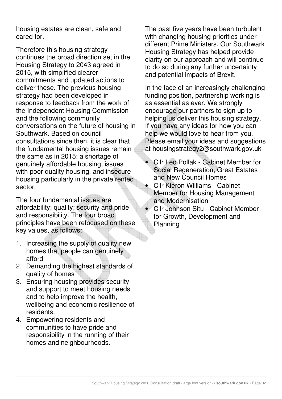housing estates are clean, safe and cared for.

Therefore this housing strategy continues the broad direction set in the Housing Strategy to 2043 agreed in 2015, with simplified clearer commitments and updated actions to deliver these. The previous housing strategy had been developed in response to feedback from the work of the Independent Housing Commission and the following community conversations on the future of housing in Southwark. Based on council consultations since then, it is clear that the fundamental housing issues remain the same as in 2015: a shortage of genuinely affordable housing; issues with poor quality housing, and insecure housing particularly in the private rented sector.

The four fundamental issues are affordability; quality; security and pride and responsibility. The four broad principles have been refocused on these key values, as follows:

- 1. Increasing the supply of quality new homes that people can genuinely afford
- 2. Demanding the highest standards of quality of homes
- 3. Ensuring housing provides security and support to meet housing needs and to help improve the health, wellbeing and economic resilience of residents.
- 4. Empowering residents and communities to have pride and responsibility in the running of their homes and neighbourhoods.

The past five years have been turbulent with changing housing priorities under different Prime Ministers. Our Southwark Housing Strategy has helped provide clarity on our approach and will continue to do so during any further uncertainty and potential impacts of Brexit.

In the face of an increasingly challenging funding position, partnership working is as essential as ever. We strongly encourage our partners to sign up to helping us deliver this housing strategy. If you have any ideas for how you can help we would love to hear from you. Please email your ideas and suggestions at housingstrategy2@southwark.gov.uk

- Cllr Leo Pollak Cabinet Member for Social Regeneration, Great Estates and New Council Homes
- Cllr Kieron Williams Cabinet Member for Housing Management and Modernisation • Cllr Johnson Situ - Cabinet Member
	- for Growth, Development and Planning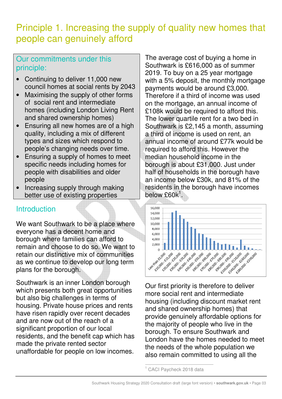# Principle 1. Increasing the supply of quality new homes that people can genuinely afford

#### Our commitments under this principle:

- Continuing to deliver 11,000 new council homes at social rents by 2043
- Maximising the supply of other forms of social rent and intermediate homes (including London Living Rent and shared ownership homes)
- Ensuring all new homes are of a high quality, including a mix of different types and sizes which respond to people's changing needs over time.
- Ensuring a supply of homes to meet specific needs including homes for people with disabilities and older people
- Increasing supply through making better use of existing properties

#### **Introduction**

We want Southwark to be a place where everyone has a decent home and borough where families can afford to remain and choose to do so. We want to retain our distinctive mix of communities as we continue to develop our long term plans for the borough.

Southwark is an inner London borough which presents both great opportunities but also big challenges in terms of housing. Private house prices and rents have risen rapidly over recent decades and are now out of the reach of a significant proportion of our local residents, and the benefit cap which has made the private rented sector unaffordable for people on low incomes. The average cost of buying a home in Southwark is £616,000 as of summer 2019. To buy on a 25 year mortgage with a 5% deposit, the monthly mortgage payments would be around £3,000. Therefore if a third of income was used on the mortgage, an annual income of £108k would be required to afford this. The lower quartile rent for a two bed in Southwark is £2,145 a month, assuming a third of income is used on rent, an annual income of around £77k would be required to afford this. However the median household income in the borough is about £31,000. Just under half of households in the borough have an income below £30k, and 81% of the residents in the borough have incomes below  $\mathsf{E60k}^1$ .



Our first priority is therefore to deliver more social rent and intermediate housing (including discount market rent and shared ownership homes) that provide genuinely affordable options for the majority of people who live in the borough. To ensure Southwark and London have the homes needed to meet the needs of the whole population we also remain committed to using all the

 $\overline{a}$ <sup>1</sup> CACI Paycheck 2018 data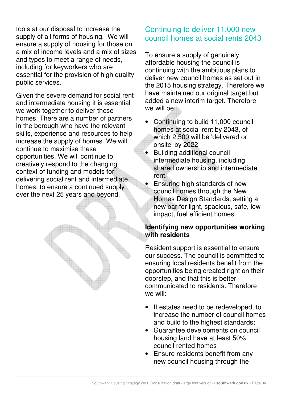tools at our disposal to increase the supply of all forms of housing. We will ensure a supply of housing for those on a mix of income levels and a mix of sizes and types to meet a range of needs, including for keyworkers who are essential for the provision of high quality public services.

Given the severe demand for social rent and intermediate housing it is essential we work together to deliver these homes. There are a number of partners in the borough who have the relevant skills, experience and resources to help increase the supply of homes. We will continue to maximise these opportunities. We will continue to creatively respond to the changing context of funding and models for delivering social rent and intermediate homes, to ensure a continued supply over the next 25 years and beyond.

#### Continuing to deliver 11,000 new council homes at social rents 2043

To ensure a supply of genuinely affordable housing the council is continuing with the ambitious plans to deliver new council homes as set out in the 2015 housing strategy. Therefore we have maintained our original target but added a new interim target. Therefore we will be:

- Continuing to build 11,000 council homes at social rent by 2043, of which 2,500 will be 'delivered or onsite' by 2022
- Building additional council intermediate housing, including shared ownership and intermediate rent.
- Ensuring high standards of new council homes through the New Homes Design Standards, setting a new bar for light, spacious, safe, low impact, fuel efficient homes.

#### **Identifying new opportunities working with residents**

Resident support is essential to ensure our success. The council is committed to ensuring local residents benefit from the opportunities being created right on their doorstep, and that this is better communicated to residents. Therefore we will:

- If estates need to be redeveloped, to increase the number of council homes and build to the highest standards;
- Guarantee developments on council housing land have at least 50% council rented homes
- Ensure residents benefit from any new council housing through the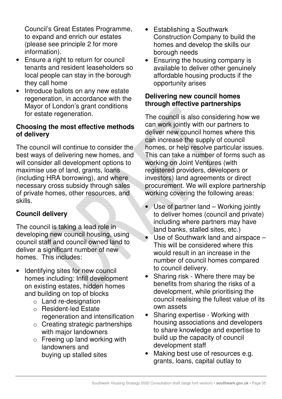Council's Great Estates Programme, to expand and enrich our estates (please see principle 2 for more information).

- Ensure a right to return for council tenants and resident leaseholders so local people can stay in the borough they call home
- Introduce ballots on any new estate regeneration, in accordance with the Mayor of London's grant conditions for estate regeneration.

#### **Choosing the most effective methods of delivery**

The council will continue to consider the best ways of delivering new homes, and will consider all development options to maximise use of land, grants, loans (including HRA borrowing), and where necessary cross subsidy through sales of private homes, other resources, and skills.

#### **Council delivery**

The council is taking a lead role in developing new council housing, using council staff and council owned land to deliver a significant number of new homes. This includes:

- Identifying sites for new council homes including: Infill development on existing estates, hidden homes and building on top of blocks
	- o Land re-designation
	- o Resident-led Estate regeneration and intensification
	- o Creating strategic partnerships with major landowners
	- o Freeing up land working with landowners and buying up stalled sites
- Establishing a Southwark Construction Company to build the homes and develop the skills our borough needs
- Ensuring the housing company is available to deliver other genuinely affordable housing products if the opportunity arises

#### **Delivering new council homes through effective partnerships**

The council is also considering how we can work jointly with our partners to deliver new council homes where this can increase the supply of council homes, or help resolve particular issues. This can take a number of forms such as working on Joint Ventures (with registered providers, developers or investors) land agreements or direct procurement. We will explore partnership working covering the following areas:

- Use of partner land Working jointly to deliver homes (council and private) including where partners may have land banks, stalled sites, etc.)
	- Use of Southwark land and airspace This will be considered where this would result in an increase in the number of council homes compared to council delivery.
- Sharing risk Where there may be benefits from sharing the risks of a development, while prioritising the council realising the fullest value of its own assets
- Sharing expertise Working with housing associations and developers to share knowledge and expertise to build up the capacity of council development staff
- Making best use of resources e.g. grants, loans, capital outlay to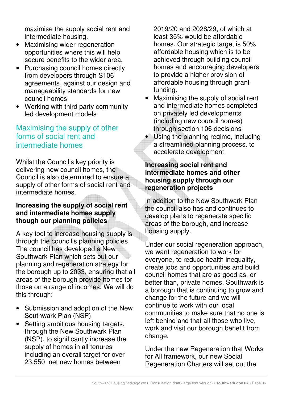maximise the supply social rent and intermediate housing.

- Maximising wider regeneration opportunities where this will help secure benefits to the wider area.
- Purchasing council homes directly from developers through S106 agreements, against our design and manageability standards for new council homes
- Working with third party community led development models

#### Maximising the supply of other forms of social rent and intermediate homes

Whilst the Council's key priority is delivering new council homes, the Council is also determined to ensure a supply of other forms of social rent and intermediate homes.

#### **Increasing the supply of social rent and intermediate homes supply though our planning policies**

A key tool to increase housing supply is through the council's planning policies. The council has developed a New Southwark Plan which sets out our planning and regeneration strategy for the borough up to 2033, ensuring that all areas of the borough provide homes for those on a range of incomes. We will do this through:

- Submission and adoption of the New Southwark Plan (NSP)
- Setting ambitious housing targets. through the New Southwark Plan (NSP), to significantly increase the supply of homes in all tenures including an overall target for over 23,550 net new homes between

2019/20 and 2028/29, of which at least 35% would be affordable homes. Our strategic target is 50% affordable housing which is to be achieved through building council homes and encouraging developers to provide a higher provision of affordable housing through grant funding.

- Maximising the supply of social rent and intermediate homes completed on privately led developments (including new council homes) through section 106 decisions
- Using the planning regime, including a streamlined planning process, to accelerate development

#### **Increasing social rent and intermediate homes and other housing supply through our regeneration projects**

In addition to the New Southwark Plan the council also has and continues to develop plans to regenerate specific areas of the borough, and increase housing supply.

Under our social regeneration approach, we want regeneration to work for everyone, to reduce health inequality, create jobs and opportunities and build council homes that are as good as, or better than, private homes. Southwark is a borough that is continuing to grow and change for the future and we will continue to work with our local communities to make sure that no one is left behind and that all those who live, work and visit our borough benefit from change.

Under the new Regeneration that Works for All framework, our new Social Regeneration Charters will set out the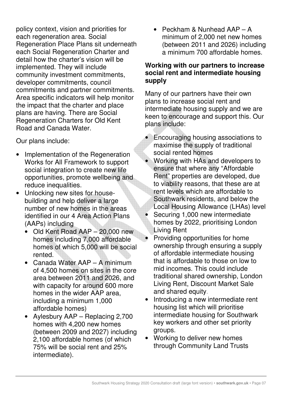policy context, vision and priorities for each regeneration area. Social Regeneration Place Plans sit underneath each Social Regeneration Charter and detail how the charter's vision will be implemented. They will include community investment commitments, developer commitments, council commitments and partner commitments. Area specific indicators will help monitor the impact that the charter and place plans are having. There are Social Regeneration Charters for Old Kent Road and Canada Water.

Our plans include:

- Implementation of the Regeneration Works for All Framework to support social integration to create new life opportunities, promote wellbeing and reduce inequalities.
- Unlocking new sites for housebuilding and help deliver a large number of new homes in the areas identified in our 4 Area Action Plans (AAPs) including
	- Old Kent Road AAP 20,000 new homes including 7,000 affordable homes of which 5,000 will be social rented.
	- Canada Water AAP A minimum of 4,500 homes on sites in the core area between 2011 and 2026, and with capacity for around 600 more homes in the wider AAP area, including a minimum 1,000 affordable homes)
	- Aylesbury AAP Replacing 2,700 homes with 4,200 new homes (between 2009 and 2027) including 2,100 affordable homes (of which 75% will be social rent and 25% intermediate).

• Peckham & Nunhead AAP – A minimum of 2,000 net new homes (between 2011 and 2026) including a minimum 700 affordable homes.

#### **Working with our partners to increase social rent and intermediate housing supply**

Many of our partners have their own plans to increase social rent and intermediate housing supply and we are keen to encourage and support this. Our plans include:

- Encouraging housing associations to maximise the supply of traditional social rented homes
- Working with HAs and developers to ensure that where any "Affordable Rent" properties are developed, due to viability reasons, that these are at rent levels which are affordable to Southwark residents, and below the Local Housing Allowance (LHAs) level • Securing 1,000 new intermediate homes by 2022, prioritising London Living Rent
- Providing opportunities for home ownership through ensuring a supply of affordable intermediate housing that is affordable to those on low to mid incomes. This could include traditional shared ownership, London Living Rent, Discount Market Sale and shared equity.
- Introducing a new intermediate rent housing list which will prioritise intermediate housing for Southwark key workers and other set priority groups.
- Working to deliver new homes through Community Land Trusts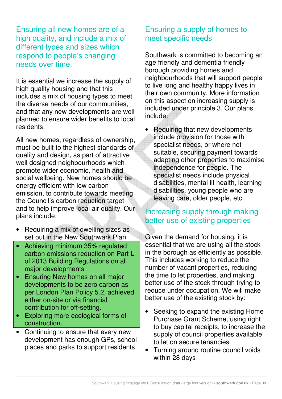Ensuring all new homes are of a high quality, and include a mix of different types and sizes which respond to people's changing needs over time.

It is essential we increase the supply of high quality housing and that this includes a mix of housing types to meet the diverse needs of our communities, and that any new developments are well planned to ensure wider benefits to local residents.

All new homes, regardless of ownership, must be built to the highest standards of quality and design, as part of attractive well designed neighbourhoods which promote wider economic, health and social wellbeing. New homes should be energy efficient with low carbon emission, to contribute towards meeting the Council's carbon reduction target and to help improve local air quality. Our plans include:

- Requiring a mix of dwelling sizes as set out in the New Southwark Plan
- Achieving minimum 35% regulated carbon emissions reduction on Part L of 2013 Building Regulations on all major developments
- Ensuring New homes on all major developments to be zero carbon as per London Plan Policy 5.2, achieved either on-site or via financial contribution for off-setting.
- Exploring more ecological forms of construction.
- Continuing to ensure that every new development has enough GPs, school places and parks to support residents

#### Ensuring a supply of homes to meet specific needs

Southwark is committed to becoming an age friendly and dementia friendly borough providing homes and neighbourhoods that will support people to live long and healthy happy lives in their own community. More information on this aspect on increasing supply is included under principle 3. Our plans include:

• Requiring that new developments include provision for those with specialist needs, or where not suitable, securing payment towards adapting other properties to maximise independence for people. The specialist needs include physical disabilities, mental ill-health, learning disabilities, young people who are leaving care, older people, etc.

#### Increasing supply through making better use of existing properties

Given the demand for housing, it is essential that we are using all the stock in the borough as efficiently as possible. This includes working to reduce the number of vacant properties, reducing the time to let properties, and making better use of the stock through trying to reduce under occupation. We will make better use of the existing stock by:

- Seeking to expand the existing Home Purchase Grant Scheme, using right to buy capital receipts, to increase the supply of council properties available to let on secure tenancies
- Turning around routine council voids within 28 days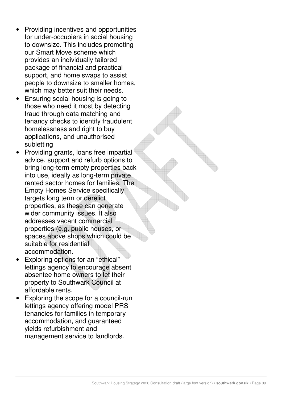- Providing incentives and opportunities for under-occupiers in social housing to downsize. This includes promoting our Smart Move scheme which provides an individually tailored package of financial and practical support, and home swaps to assist people to downsize to smaller homes, which may better suit their needs.
- Ensuring social housing is going to those who need it most by detecting fraud through data matching and tenancy checks to identify fraudulent homelessness and right to buy applications, and unauthorised subletting
- Providing grants, loans free impartial advice, support and refurb options to bring long-term empty properties back into use, ideally as long-term private rented sector homes for families. The Empty Homes Service specifically targets long term or derelict properties, as these can generate wider community issues. It also addresses vacant commercial properties (e.g. public houses, or spaces above shops which could be suitable for residential accommodation.
- Exploring options for an "ethical" lettings agency to encourage absent absentee home owners to let their property to Southwark Council at affordable rents.
- Exploring the scope for a council-run lettings agency offering model PRS tenancies for families in temporary accommodation, and guaranteed yields refurbishment and management service to landlords.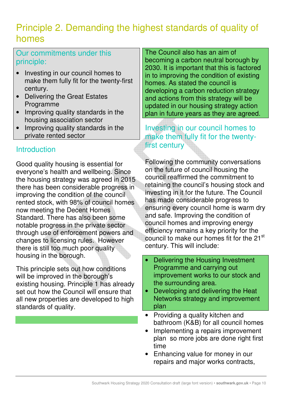## Principle 2. Demanding the highest standards of quality of homes

Our commitments under this principle:

- Investing in our council homes to make them fully fit for the twenty-first century.
- Delivering the Great Estates Programme
- Improving quality standards in the housing association sector
- Improving quality standards in the private rented sector

#### **Introduction**

Good quality housing is essential for everyone's health and wellbeing. Since the housing strategy was agreed in 2015 there has been considerable progress in improving the condition of the council rented stock, with 98% of council homes now meeting the Decent Homes Standard. There has also been some notable progress in the private sector through use of enforcement powers and changes to licensing rules. However there is still too much poor quality housing in the borough.

This principle sets out how conditions will be improved in the borough's existing housing. Principle 1 has already set out how the Council will ensure that all new properties are developed to high standards of quality.

The Council also has an aim of becoming a carbon neutral borough by 2030. It is important that this is factored in to improving the condition of existing homes. As stated the council is developing a carbon reduction strategy and actions from this strategy will be updated in our housing strategy action plan in future years as they are agreed.

Investing in our council homes to make them fully fit for the twentyfirst century

Following the community conversations on the future of council housing the council reaffirmed the commitment to retaining the council's housing stock and investing in it for the future. The Council has made considerable progress to ensuring every council home is warm dry and safe. Improving the condition of council homes and improving energy efficiency remains a key priority for the council to make our homes fit for the 21<sup>st</sup> century. This will include:

- Delivering the Housing Investment Programme and carrying out improvement works to our stock and the surrounding area.
- Developing and delivering the Heat Networks strategy and improvement plan
- Providing a quality kitchen and bathroom (K&B) for all council homes
- Implementing a repairs improvement plan so more jobs are done right first time
- Enhancing value for money in our repairs and major works contracts,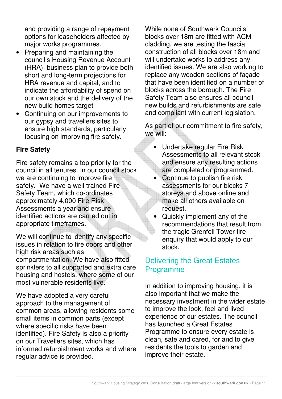and providing a range of repayment options for leaseholders affected by major works programmes.

- Preparing and maintaining the council's Housing Revenue Account (HRA) business plan to provide both short and long-term projections for HRA revenue and capital, and to indicate the affordability of spend on our own stock and the delivery of the new build homes target
- Continuing on our improvements to our gypsy and travellers sites to ensure high standards, particularly focusing on improving fire safety.

#### **Fire Safety**

Fire safety remains a top priority for the council in all tenures. In our council stock we are continuing to improve fire safety. We have a well trained Fire Safety Team, which co-ordinates approximately 4,000 Fire Risk Assessments a year and ensure identified actions are carried out in appropriate timeframes.

We will continue to identify any specific issues in relation to fire doors and other high risk areas such as compartmentation. We have also fitted sprinklers to all supported and extra care housing and hostels, where some of our most vulnerable residents live.

We have adopted a very careful approach to the management of common areas, allowing residents some small items in common parts (except where specific risks have been identified). Fire Safety is also a priority on our Travellers sites, which has informed refurbishment works and where regular advice is provided.

While none of Southwark Councils blocks over 18m are fitted with ACM cladding, we are testing the fascia construction of all blocks over 18m and will undertake works to address any identified issues. We are also working to replace any wooden sections of façade that have been identified on a number of blocks across the borough. The Fire Safety Team also ensures all council new builds and refurbishments are safe and compliant with current legislation.

As part of our commitment to fire safety, we will:

- Undertake regular Fire Risk Assessments to all relevant stock and ensure any resulting actions are completed or programmed.
- Continue to publish fire risk assessments for our blocks 7 storeys and above online and make all others available on request.
- Quickly implement any of the recommendations that result from the tragic Grenfell Tower fire enquiry that would apply to our stock.

#### Delivering the Great Estates Programme

In addition to improving housing, it is also important that we make the necessary investment in the wider estate to improve the look, feel and lived experience of our estates. The council has launched a Great Estates Programme to ensure every estate is clean, safe and cared, for and to give residents the tools to garden and improve their estate.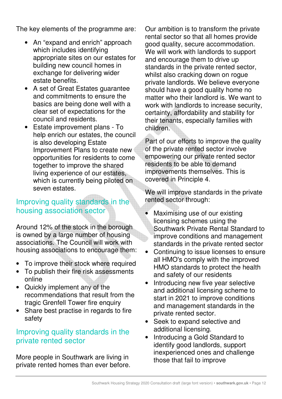The key elements of the programme are:

- An "expand and enrich" approach which includes identifying appropriate sites on our estates for building new council homes in exchange for delivering wider estate benefits.
- A set of Great Estates guarantee and commitments to ensure the basics are being done well with a clear set of expectations for the council and residents.
- Estate improvement plans To help enrich our estates, the council is also developing Estate Improvement Plans to create new opportunities for residents to come together to improve the shared living experience of our estates, which is currently being piloted on seven estates.

#### Improving quality standards in the housing association sector

Around 12% of the stock in the borough is owned by a large number of housing associations. The Council will work with housing associations to encourage them:

- To improve their stock where required
- To publish their fire risk assessments online
- Quickly implement any of the recommendations that result from the tragic Grenfell Tower fire enquiry
- Share best practise in regards to fire safety

#### Improving quality standards in the private rented sector

More people in Southwark are living in private rented homes than ever before. Our ambition is to transform the private rental sector so that all homes provide good quality, secure accommodation. We will work with landlords to support and encourage them to drive up standards in the private rented sector, whilst also cracking down on rogue private landlords. We believe everyone should have a good quality home no matter who their landlord is. We want to work with landlords to increase security, certainty, affordability and stability for their tenants, especially families with children.

Part of our efforts to improve the quality of the private rented sector involve empowering our private rented sector residents to be able to demand improvements themselves. This is covered in Principle 4.

We will improve standards in the private rented sector through:

- Maximising use of our existing licensing schemes using the Southwark Private Rental Standard to improve conditions and management standards in the private rented sector
- Continuing to issue licenses to ensure all HMO's comply with the improved HMO standards to protect the health and safety of our residents
- Introducing new five year selective and additional licensing scheme to start in 2021 to improve conditions and management standards in the private rented sector.
- Seek to expand selective and additional licensing.
- Introducing a Gold Standard to identify good landlords, support inexperienced ones and challenge those that fail to improve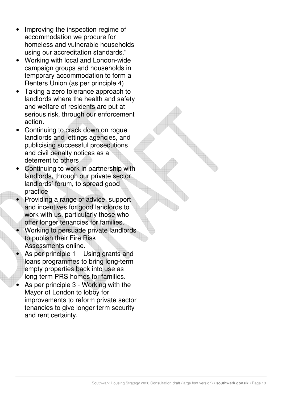- Improving the inspection regime of accommodation we procure for homeless and vulnerable households using our accreditation standards."
- Working with local and London-wide campaign groups and households in temporary accommodation to form a Renters Union (as per principle 4)
- Taking a zero tolerance approach to landlords where the health and safety and welfare of residents are put at serious risk, through our enforcement action.
- Continuing to crack down on rogue landlords and lettings agencies, and publicising successful prosecutions and civil penalty notices as a deterrent to others
- Continuing to work in partnership with landlords, through our private sector landlords' forum, to spread good practice
- Providing a range of advice, support and incentives for good landlords to work with us, particularly those who offer longer tenancies for families.
- Working to persuade private landlords to publish their Fire Risk Assessments online.
- As per principle  $1 -$ Using grants and loans programmes to bring long-term empty properties back into use as long-term PRS homes for families.
- As per principle 3 Working with the Mayor of London to lobby for improvements to reform private sector tenancies to give longer term security and rent certainty.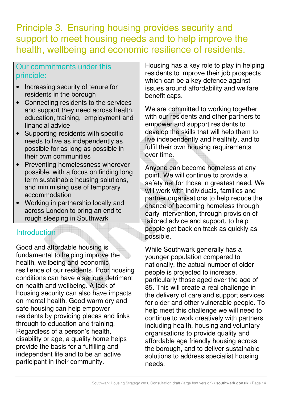Principle 3. Ensuring housing provides security and support to meet housing needs and to help improve the health, wellbeing and economic resilience of residents.

#### Our commitments under this principle:

- Increasing security of tenure for residents in the borough
- Connecting residents to the services and support they need across health, education, training, employment and financial advice
- Supporting residents with specific needs to live as independently as possible for as long as possible in their own communities
- Preventing homelessness wherever possible, with a focus on finding long term sustainable housing solutions, and minimising use of temporary accommodation
- Working in partnership locally and across London to bring an end to rough sleeping in Southwark

#### **Introduction**

Good and affordable housing is fundamental to helping improve the health, wellbeing and economic resilience of our residents. Poor housing conditions can have a serious detriment on health and wellbeing. A lack of housing security can also have impacts on mental health. Good warm dry and safe housing can help empower residents by providing places and links through to education and training. Regardless of a person's health, disability or age, a quality home helps provide the basis for a fulfilling and independent life and to be an active participant in their community.

Housing has a key role to play in helping residents to improve their job prospects which can be a key defence against issues around affordability and welfare benefit caps.

We are committed to working together with our residents and other partners to empower and support residents to develop the skills that will help them to live independently and healthily, and to fulfil their own housing requirements over time.

Anyone can become homeless at any point. We will continue to provide a safety net for those in greatest need. We will work with individuals, families and partner organisations to help reduce the chance of becoming homeless through early intervention, through provision of tailored advice and support, to help people get back on track as quickly as possible.

While Southwark generally has a younger population compared to nationally, the actual number of older people is projected to increase, particularly those aged over the age of 85. This will create a real challenge in the delivery of care and support services for older and other vulnerable people. To help meet this challenge we will need to continue to work creatively with partners including health, housing and voluntary organisations to provide quality and affordable age friendly housing across the borough, and to deliver sustainable solutions to address specialist housing needs.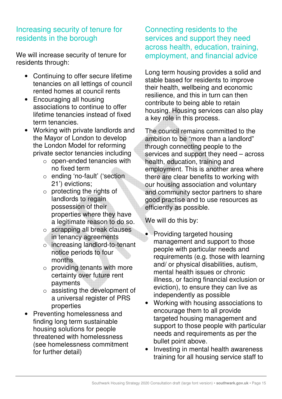#### Increasing security of tenure for residents in the borough

We will increase security of tenure for residents through:

- Continuing to offer secure lifetime tenancies on all lettings of council rented homes at council rents
- Encouraging all housing associations to continue to offer lifetime tenancies instead of fixed term tenancies.
- Working with private landlords and the Mayor of London to develop the London Model for reforming private sector tenancies including
	- o open-ended tenancies with no fixed term
	- o ending 'no-fault' ('section 21') evictions;
	- o protecting the rights of landlords to regain possession of their properties where they have a legitimate reason to do so.
	- o scrapping all break clauses in tenancy agreements
	- o increasing landlord-to-tenant notice periods to four months
	- $\circ$  providing tenants with more certainty over future rent payments
	- o assisting the development of a universal register of PRS properties
- Preventing homelessness and finding long term sustainable housing solutions for people threatened with homelessness (see homelessness commitment for further detail)

#### Connecting residents to the services and support they need across health, education, training, employment, and financial advice

Long term housing provides a solid and stable based for residents to improve their health, wellbeing and economic resilience, and this in turn can then contribute to being able to retain housing. Housing services can also play a key role in this process.

The council remains committed to the ambition to be "more than a landlord" through connecting people to the services and support they need – across health, education, training and employment. This is another area where there are clear benefits to working with our housing association and voluntary and community sector partners to share good practise and to use resources as efficiently as possible.

We will do this by:

- Providing targeted housing management and support to those people with particular needs and requirements (e.g. those with learning and/ or physical disabilities, autism, mental health issues or chronic illness, or facing financial exclusion or eviction), to ensure they can live as independently as possible
- Working with housing associations to encourage them to all provide targeted housing management and support to those people with particular needs and requirements as per the bullet point above.
- Investing in mental health awareness training for all housing service staff to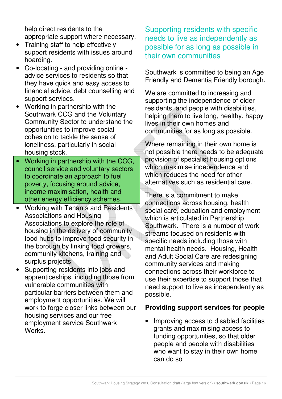help direct residents to the appropriate support where necessary.

- Training staff to help effectively support residents with issues around hoarding.
- Co-locating and providing online advice services to residents so that they have quick and easy access to financial advice, debt counselling and support services.
- Working in partnership with the Southwark CCG and the Voluntary Community Sector to understand the opportunities to improve social cohesion to tackle the sense of loneliness, particularly in social housing stock.
- Working in partnership with the CCG, council service and voluntary sectors to coordinate an approach to fuel poverty, focusing around advice, income maximisation, health and other energy efficiency schemes.
- Working with Tenants and Residents Associations and Housing Associations to explore the role of housing in the delivery of community food hubs to improve food security in the borough by linking food growers, community kitchens, training and surplus projects
- Supporting residents into jobs and apprenticeships, including those from vulnerable communities with particular barriers between them and employment opportunities. We will work to forge closer links between our housing services and our free employment service Southwark Works.

Supporting residents with specific needs to live as independently as possible for as long as possible in their own communities

Southwark is committed to being an Age Friendly and Dementia Friendly borough.

We are committed to increasing and supporting the independence of older residents, and people with disabilities, helping them to live long, healthy, happy lives in their own homes and communities for as long as possible.

Where remaining in their own home is not possible there needs to be adequate provision of specialist housing options which maximise independence and which reduces the need for other alternatives such as residential care.

There is a commitment to make connections across housing, health social care, education and employment which is articulated in Partnership Southwark. There is a number of work streams focused on residents with specific needs including those with mental health needs. Housing, Health and Adult Social Care are redesigning community services and making connections across their workforce to use their expertise to support those that need support to live as independently as possible.

#### **Providing support services for people**

• Improving access to disabled facilities grants and maximising access to funding opportunities, so that older people and people with disabilities who want to stay in their own home can do so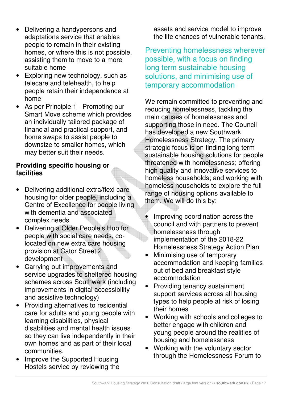- Delivering a handypersons and adaptations service that enables people to remain in their existing homes, or where this is not possible, assisting them to move to a more suitable home
- Exploring new technology, such as telecare and telehealth, to help people retain their independence at home
- As per Principle 1 Promoting our Smart Move scheme which provides an individually tailored package of financial and practical support, and home swaps to assist people to downsize to smaller homes, which may better suit their needs.

#### **Providing specific housing or facilities**

- Delivering additional extra/flexi care housing for older people, including a Centre of Excellence for people living with dementia and associated complex needs
- Delivering a Older People's Hub for people with social care needs, colocated on new extra care housing provision at Cator Street 2 development
- Carrying out improvements and service upgrades to sheltered housing schemes across Southwark (including improvements in digital accessibility and assistive technology)
- Providing alternatives to residential care for adults and young people with learning disabilities, physical disabilities and mental health issues so they can live independently in their own homes and as part of their local communities.
- Improve the Supported Housing Hostels service by reviewing the

assets and service model to improve the life chances of vulnerable tenants.

Preventing homelessness wherever possible, with a focus on finding long term sustainable housing solutions, and minimising use of temporary accommodation

We remain committed to preventing and reducing homelessness, tackling the main causes of homelessness and supporting those in need. The Council has developed a new Southwark Homelessness Strategy. The primary strategic focus is on finding long term sustainable housing solutions for people threatened with homelessness; offering high quality and innovative services to homeless households; and working with homeless households to explore the full range of housing options available to them. We will do this by:

- Improving coordination across the council and with partners to prevent homelessness through implementation of the 2018-22 Homelessness Strategy Action Plan
- Minimising use of temporary accommodation and keeping families out of bed and breakfast style accommodation
- Providing tenancy sustainment support services across all housing types to help people at risk of losing their homes
- Working with schools and colleges to better engage with children and young people around the realities of housing and homelessness
- Working with the voluntary sector through the Homelessness Forum to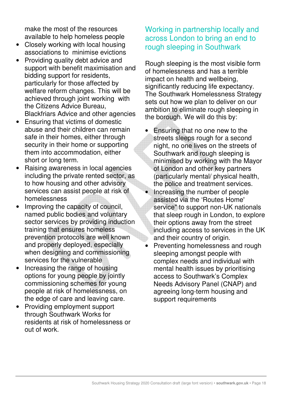make the most of the resources available to help homeless people

- Closely working with local housing associations to minimise evictions
- Providing quality debt advice and support with benefit maximisation and bidding support for residents, particularly for those affected by welfare reform changes. This will be achieved through joint working with the Citizens Advice Bureau, Blackfriars Advice and other agencies
- Ensuring that victims of domestic abuse and their children can remain safe in their homes, either through security in their home or supporting them into accommodation, either short or long term.
- Raising awareness in local agencies including the private rented sector, as to how housing and other advisory services can assist people at risk of homelessness
- Improving the capacity of council, named public bodies and voluntary sector services by providing induction training that ensures homeless prevention protocols are well known and properly deployed, especially when designing and commissioning services for the vulnerable
- Increasing the range of housing options for young people by jointly commissioning schemes for young people at risk of homelessness, on the edge of care and leaving care.
- Providing employment support through Southwark Works for residents at risk of homelessness or out of work.

#### Working in partnership locally and across London to bring an end to rough sleeping in Southwark

Rough sleeping is the most visible form of homelessness and has a terrible impact on health and wellbeing, significantly reducing life expectancy. The Southwark Homelessness Strategy sets out how we plan to deliver on our ambition to eliminate rough sleeping in the borough. We will do this by:

- Ensuring that no one new to the streets sleeps rough for a second night, no one lives on the streets of Southwark and rough sleeping is minimised by working with the Mayor of London and other key partners (particularly mental/ physical health, the police and treatment services. • Increasing the number of people assisted via the 'Routes Home' service" to support non-UK nationals that sleep rough in London, to explore their options away from the street including access to services in the UK and their country of origin.
- Preventing homelessness and rough sleeping amongst people with complex needs and individual with mental health issues by prioritising access to Southwark's Complex Needs Advisory Panel (CNAP) and agreeing long-term housing and support requirements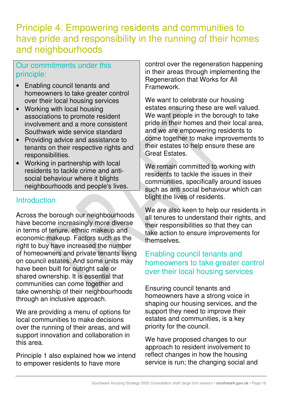### Principle 4. Empowering residents and communities to have pride and responsibility in the running of their homes and neighbourhoods

#### Our commitments under this principle:

- Enabling council tenants and homeowners to take greater control over their local housing services
- Working with local housing associations to promote resident involvement and a more consistent Southwark wide service standard
- Providing advice and assistance to tenants on their respective rights and responsibilities.
- Working in partnership with local residents to tackle crime and antisocial behaviour where it blights neighbourhoods and people's lives.

#### **Introduction**

Across the borough our neighbourhoods have become increasingly more diverse in terms of tenure, ethnic makeup and economic makeup. Factors such as the right to buy have increased the number of homeowners and private tenants living on council estates. And some units may have been built for outright sale or shared ownership. It is essential that communities can come together and take ownership of their neighbourhoods through an inclusive approach.

We are providing a menu of options for local communities to make decisions over the running of their areas, and will support innovation and collaboration in this area.

Principle 1 also explained how we intend to empower residents to have more

control over the regeneration happening in their areas through implementing the Regeneration that Works for All **Framework** 

We want to celebrate our housing estates ensuring these are well valued. We want people in the borough to take pride in their homes and their local area, and we are empowering residents to come together to make improvements to their estates to help ensure these are Great Estates.

We remain committed to working with residents to tackle the issues in their communities, specifically around issues such as anti social behaviour which can blight the lives of residents.

We are also keen to help our residents in all tenures to understand their rights, and their responsibilities so that they can take action to ensure improvements for themselves.

#### Enabling council tenants and homeowners to take greater control over their local housing services

Ensuring council tenants and homeowners have a strong voice in shaping our housing services, and the support they need to improve their estates and communities, is a key priority for the council.

We have proposed changes to our approach to resident involvement to reflect changes in how the housing service is run; the changing social and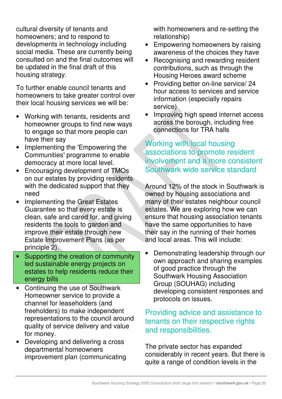cultural diversity of tenants and homeowners; and to respond to developments in technology including social media. These are currently being consulted on and the final outcomes will be updated in the final draft of this housing strategy.

To further enable council tenants and homeowners to take greater control over their local housing services we will be:

- Working with tenants, residents and homeowner groups to find new ways to engage so that more people can have their say
- Implementing the 'Empowering the Communities' programme to enable democracy at more local level.
- Encouraging development of TMOs on our estates by providing residents with the dedicated support that they need
- Implementing the Great Estates Guarantee so that every estate is clean, safe and cared for, and giving residents the tools to garden and improve their estate through new Estate Improvement Plans (as per principle 2).
- Supporting the creation of community led sustainable energy projects on estates to help residents reduce their energy bills
- Continuing the use of Southwark Homeowner service to provide a channel for leaseholders (and freeholders) to make independent representations to the council around quality of service delivery and value for money.
- Developing and delivering a cross departmental homeowners improvement plan (communicating

with homeowners and re-setting the relationship)

- Empowering homeowners by raising awareness of the choices they have
- Recognising and rewarding resident contributions, such as through the Housing Heroes award scheme
- Providing better on-line service/ 24 hour access to services and service information (especially repairs service)
- Improving high speed internet access across the borough, including free connections for TRA halls

#### Working with local housing associations to promote resident involvement and a more consistent Southwark wide service standard

Around 12% of the stock in Southwark is owned by housing associations and many of their estates neighbour council estates. We are exploring how we can ensure that housing association tenants have the same opportunities to have their say in the running of their homes and local areas. This will include:

• Demonstrating leadership through our own approach and sharing examples of good practice through the Southwark Housing Association Group (SOUHAG) including developing consistent responses and protocols on issues.

#### Providing advice and assistance to tenants on their respective rights and responsibilities.

The private sector has expanded considerably in recent years. But there is quite a range of condition levels in the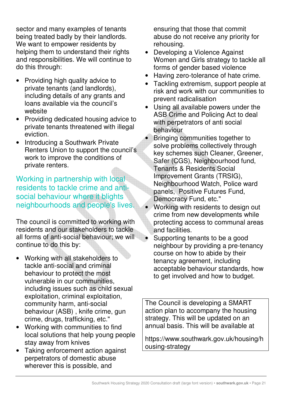sector and many examples of tenants being treated badly by their landlords. We want to empower residents by helping them to understand their rights and responsibilities. We will continue to do this through:

- Providing high quality advice to private tenants (and landlords), including details of any grants and loans available via the council's website
- Providing dedicated housing advice to private tenants threatened with illegal eviction.
- Introducing a Southwark Private Renters Union to support the council's work to improve the conditions of private renters.

Working in partnership with local residents to tackle crime and antisocial behaviour where it blights neighbourhoods and people's lives.

The council is committed to working with residents and our stakeholders to tackle all forms of anti-social behaviour; we will continue to do this by:

- Working with all stakeholders to tackle anti-social and criminal behaviour to protect the most vulnerable in our communities, including issues such as child sexual exploitation, criminal exploitation, community harm, anti-social behaviour (ASB) , knife crime, gun crime, drugs, trafficking, etc."
- Working with communities to find local solutions that help young people stay away from knives
- Taking enforcement action against perpetrators of domestic abuse wherever this is possible, and

ensuring that those that commit abuse do not receive any priority for rehousing.

- Developing a Violence Against Women and Girls strategy to tackle all forms of gender based violence
- Having zero-tolerance of hate crime.
- Tackling extremism, support people at risk and work with our communities to prevent radicalisation
- Using all available powers under the ASB Crime and Policing Act to deal with perpetrators of anti social behaviour
- Bringing communities together to solve problems collectively through key schemes such Cleaner, Greener, Safer (CGS), Neighbourhood fund, Tenants & Residents Social Improvement Grants (TRSIG), Neighbourhood Watch, Police ward panels, Positive Futures Fund, Democracy Fund, etc."
- Working with residents to design out crime from new developments while protecting access to communal areas and facilities.
- Supporting tenants to be a good neighbour by providing a pre-tenancy course on how to abide by their tenancy agreement, including acceptable behaviour standards, how to get involved and how to budget.

The Council is developing a SMART action plan to accompany the housing strategy. This will be updated on an annual basis. This will be available at

https://www.southwark.gov.uk/housing/h ousing-strategy